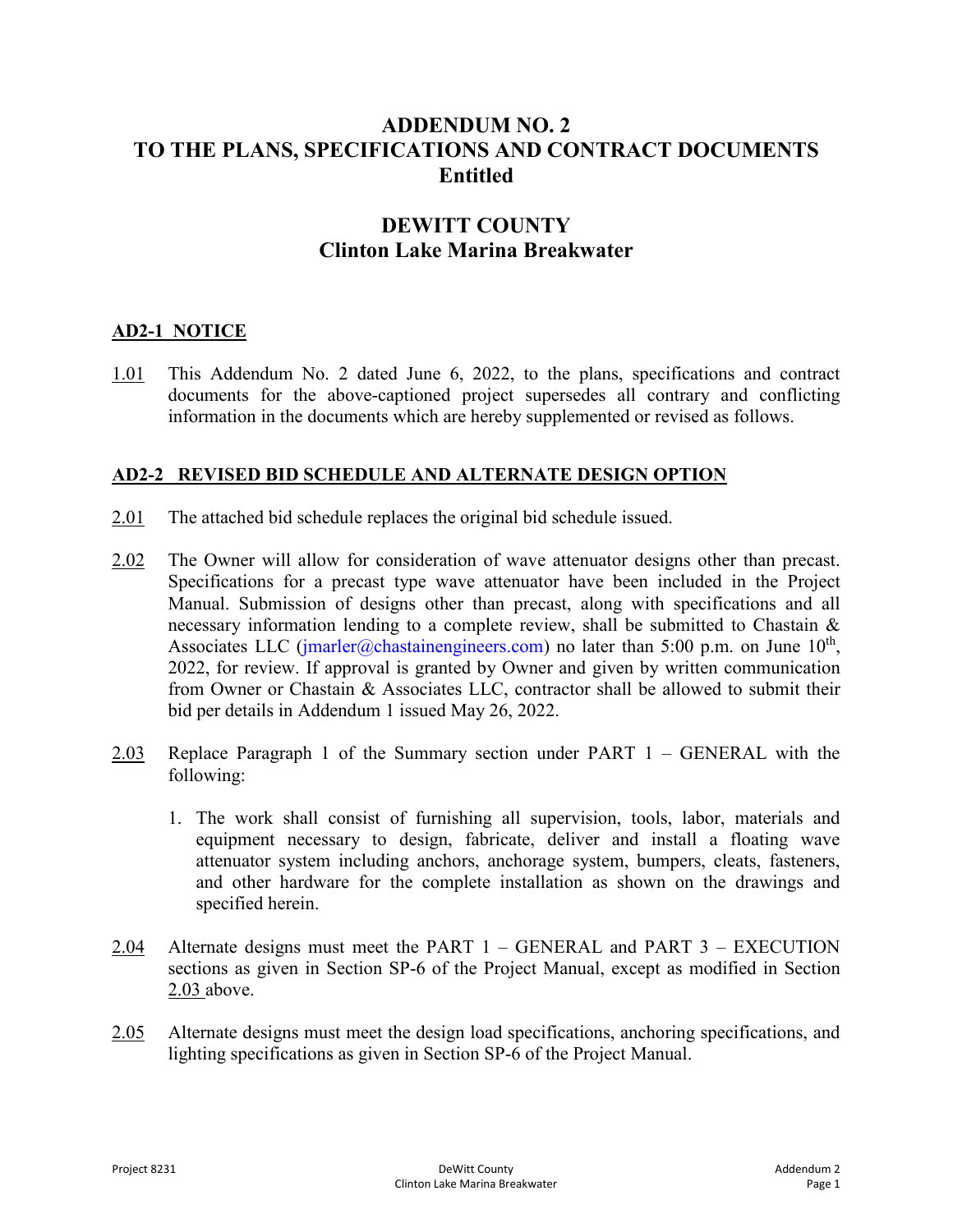# **ADDENDUM NO. 2 TO THE PLANS, SPECIFICATIONS AND CONTRACT DOCUMENTS Entitled**

# **DEWITT COUNTY Clinton Lake Marina Breakwater**

### **AD2-1 NOTICE**

1.01 This Addendum No. 2 dated June 6, 2022, to the plans, specifications and contract documents for the above-captioned project supersedes all contrary and conflicting information in the documents which are hereby supplemented or revised as follows.

### **AD2-2 REVISED BID SCHEDULE AND ALTERNATE DESIGN OPTION**

- 2.01 The attached bid schedule replaces the original bid schedule issued.
- 2.02 The Owner will allow for consideration of wave attenuator designs other than precast. Specifications for a precast type wave attenuator have been included in the Project Manual. Submission of designs other than precast, along with specifications and all necessary information lending to a complete review, shall be submitted to Chastain & Associates LLC [\(jmarler@chastainengineers.com\)](mailto:jmarler@chastainengineers.com) no later than 5:00 p.m. on June  $10<sup>th</sup>$ , 2022, for review. If approval is granted by Owner and given by written communication from Owner or Chastain & Associates LLC, contractor shall be allowed to submit their bid per details in Addendum 1 issued May 26, 2022.
- 2.03 Replace Paragraph 1 of the Summary section under PART 1 GENERAL with the following:
	- 1. The work shall consist of furnishing all supervision, tools, labor, materials and equipment necessary to design, fabricate, deliver and install a floating wave attenuator system including anchors, anchorage system, bumpers, cleats, fasteners, and other hardware for the complete installation as shown on the drawings and specified herein.
- 2.04 Alternate designs must meet the PART  $1 -$  GENERAL and PART  $3 -$  EXECUTION sections as given in Section SP-6 of the Project Manual, except as modified in Section 2.03 above.
- 2.05 Alternate designs must meet the design load specifications, anchoring specifications, and lighting specifications as given in Section SP-6 of the Project Manual.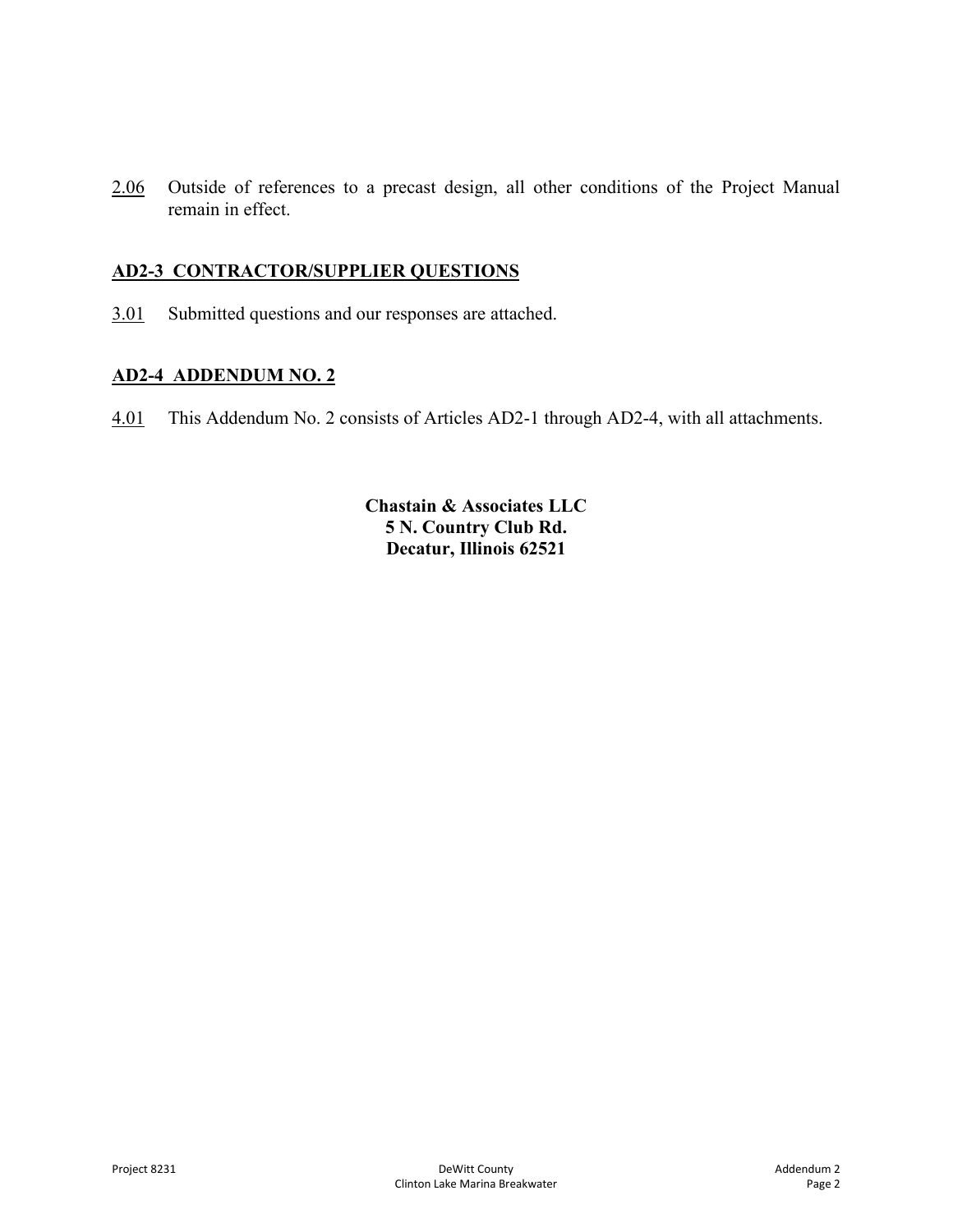2.06 Outside of references to a precast design, all other conditions of the Project Manual remain in effect.

# **AD2-3 CONTRACTOR/SUPPLIER QUESTIONS**

3.01 Submitted questions and our responses are attached.

### **AD2-4 ADDENDUM NO. 2**

4.01 This Addendum No. 2 consists of Articles AD2-1 through AD2-4, with all attachments.

**Chastain & Associates LLC 5 N. Country Club Rd. Decatur, Illinois 62521**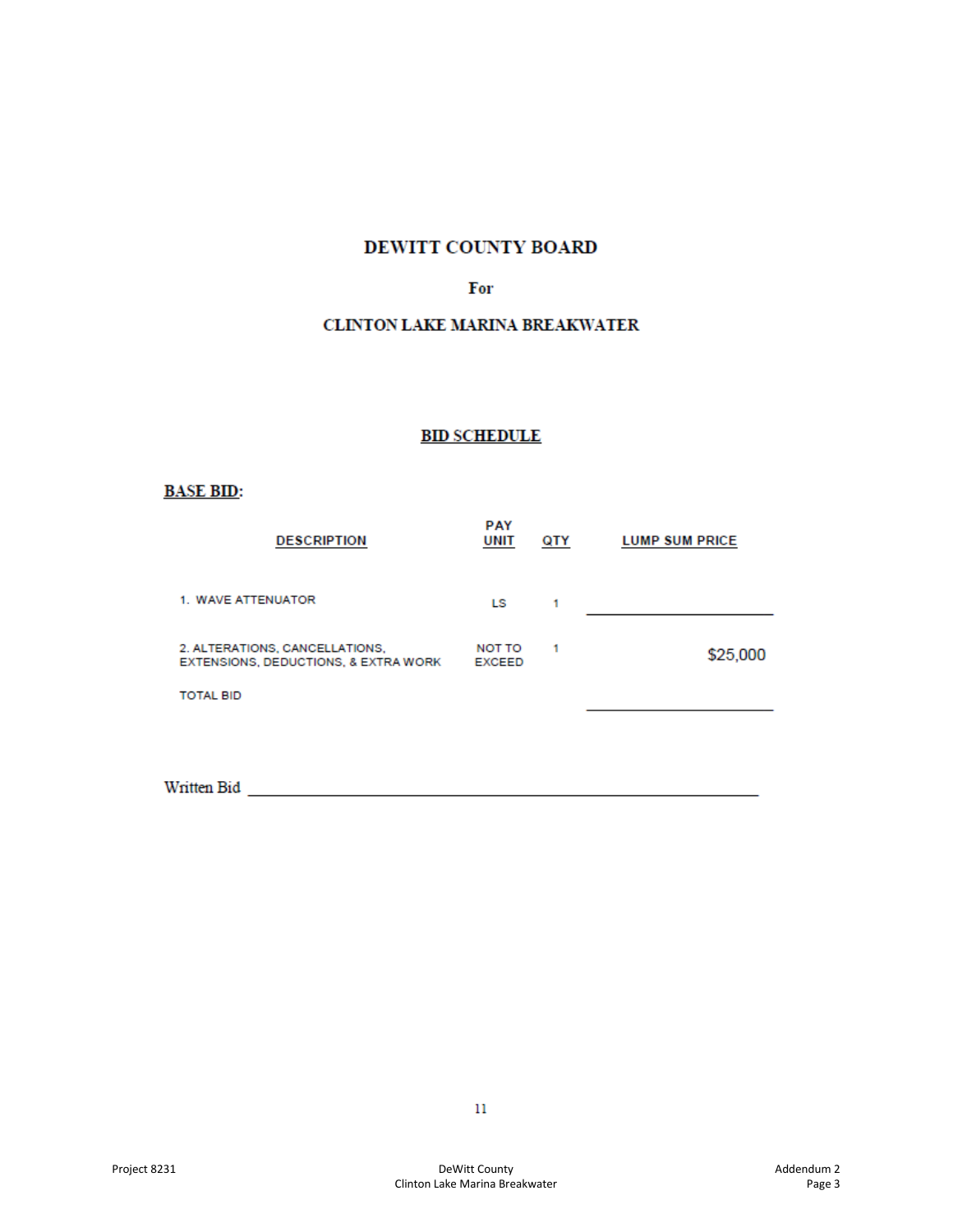# DEWITT COUNTY BOARD

#### For

#### **CLINTON LAKE MARINA BREAKWATER**

### **BID SCHEDULE**

### **BASE BID:**

| <b>DESCRIPTION</b>                                                     | <b>PAY</b><br>UNIT      | QTY | <b>LUMP SUM PRICE</b> |
|------------------------------------------------------------------------|-------------------------|-----|-----------------------|
| 1. WAVE ATTENUATOR                                                     | LS.                     |     |                       |
| 2. ALTERATIONS, CANCELLATIONS,<br>EXTENSIONS, DEDUCTIONS, & EXTRA WORK | NOT TO<br><b>EXCEED</b> |     | \$25,000              |
| <b>TOTAL BID</b>                                                       |                         |     |                       |

Written Bid **with the Community of the Community of the Community of the Community of the Community of the Community of the Community of the Community of the Community of the Community of the Community of the Community of**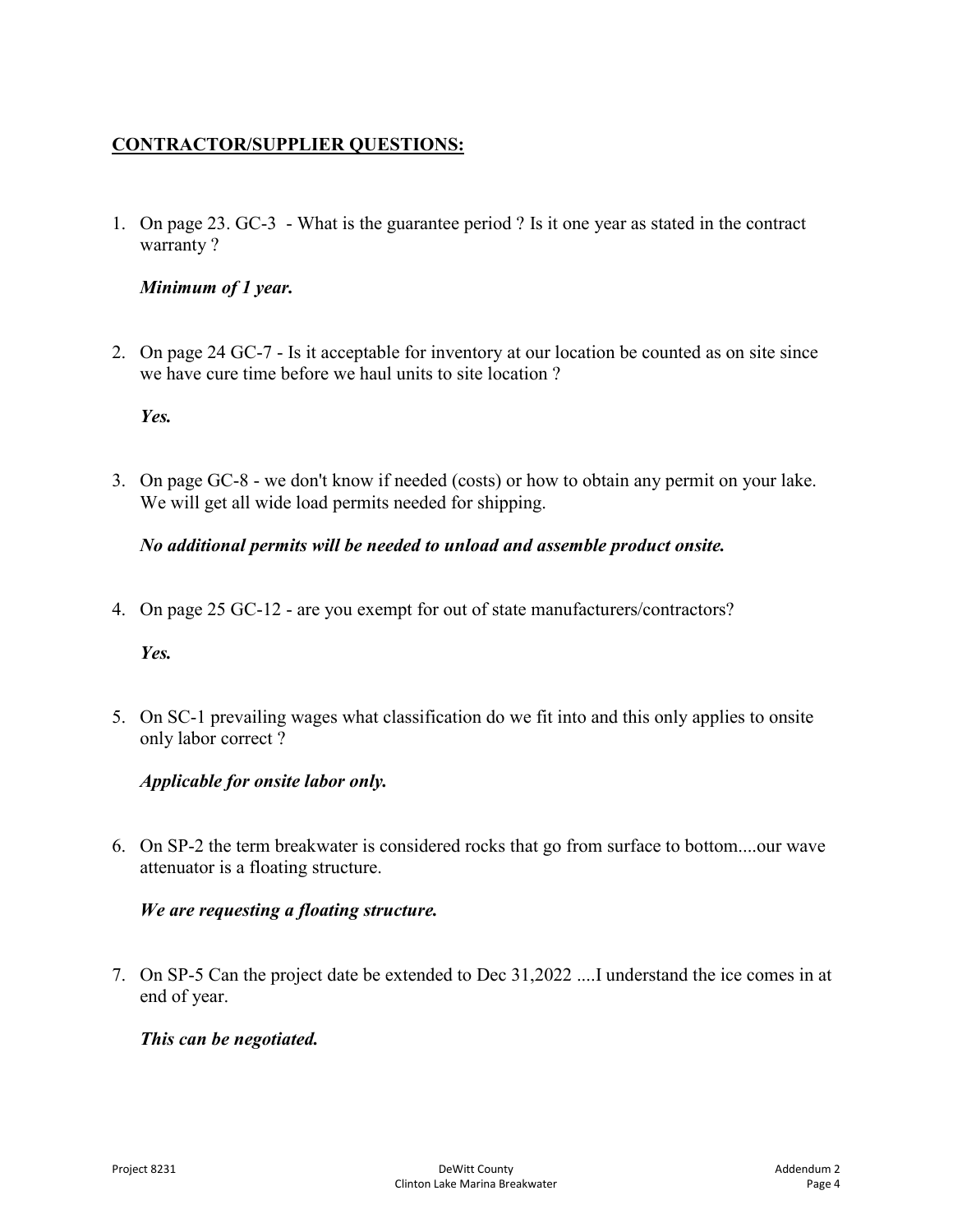# **CONTRACTOR/SUPPLIER QUESTIONS:**

1. On page 23. GC-3 - What is the guarantee period ? Is it one year as stated in the contract warranty ?

#### *Minimum of 1 year.*

2. On page 24 GC-7 - Is it acceptable for inventory at our location be counted as on site since we have cure time before we haul units to site location ?

#### *Yes.*

3. On page GC-8 - we don't know if needed (costs) or how to obtain any permit on your lake. We will get all wide load permits needed for shipping.

### *No additional permits will be needed to unload and assemble product onsite.*

4. On page 25 GC-12 - are you exempt for out of state manufacturers/contractors?

#### *Yes.*

5. On SC-1 prevailing wages what classification do we fit into and this only applies to onsite only labor correct ?

## *Applicable for onsite labor only.*

6. On SP-2 the term breakwater is considered rocks that go from surface to bottom....our wave attenuator is a floating structure.

#### *We are requesting a floating structure.*

7. On SP-5 Can the project date be extended to Dec 31,2022 ....I understand the ice comes in at end of year.

## *This can be negotiated.*